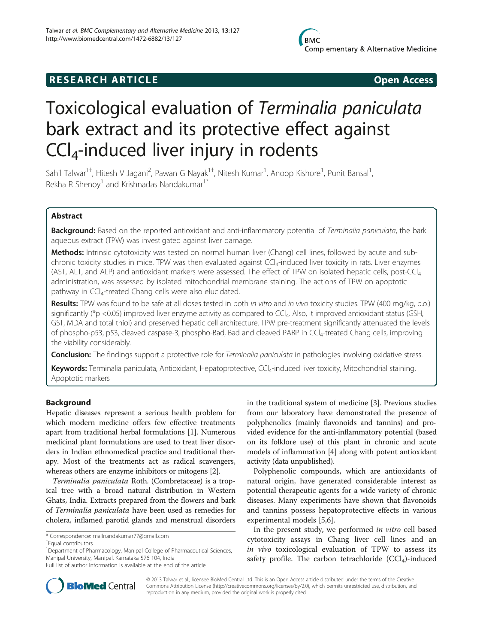# **RESEARCH ARTICLE Example 2018 Open Access**

# Toxicological evaluation of Terminalia paniculata bark extract and its protective effect against CCl4-induced liver injury in rodents

Sahil Talwar<sup>1+</sup>, Hitesh V Jagani<sup>2</sup>, Pawan G Nayak<sup>1†</sup>, Nitesh Kumar<sup>1</sup>, Anoop Kishore<sup>1</sup>, Punit Bansal<sup>1</sup> , Rekha R Shenoy<sup>1</sup> and Krishnadas Nandakumar<sup>1</sup>

# Abstract

Background: Based on the reported antioxidant and anti-inflammatory potential of Terminalia paniculata, the bark aqueous extract (TPW) was investigated against liver damage.

Methods: Intrinsic cytotoxicity was tested on normal human liver (Chang) cell lines, followed by acute and subchronic toxicity studies in mice. TPW was then evaluated against CCl<sub>4</sub>-induced liver toxicity in rats. Liver enzymes (AST, ALT, and ALP) and antioxidant markers were assessed. The effect of TPW on isolated hepatic cells, post-CCl4 administration, was assessed by isolated mitochondrial membrane staining. The actions of TPW on apoptotic pathway in CCl<sub>4</sub>-treated Chang cells were also elucidated.

Results: TPW was found to be safe at all doses tested in both in vitro and in vivo toxicity studies. TPW (400 mg/kg, p.o.) significantly (\*p <0.05) improved liver enzyme activity as compared to CCl<sub>4</sub>. Also, it improved antioxidant status (GSH, GST, MDA and total thiol) and preserved hepatic cell architecture. TPW pre-treatment significantly attenuated the levels of phospho-p53, p53, cleaved caspase-3, phospho-Bad, Bad and cleaved PARP in CCl4-treated Chang cells, improving the viability considerably.

Conclusion: The findings support a protective role for Terminalia paniculata in pathologies involving oxidative stress.

Keywords: Terminalia paniculata, Antioxidant, Hepatoprotective, CCl<sub>a</sub>-induced liver toxicity, Mitochondrial staining, Apoptotic markers

# Background

Hepatic diseases represent a serious health problem for which modern medicine offers few effective treatments apart from traditional herbal formulations [\[1](#page-9-0)]. Numerous medicinal plant formulations are used to treat liver disorders in Indian ethnomedical practice and traditional therapy. Most of the treatments act as radical scavengers, whereas others are enzyme inhibitors or mitogens [[2\]](#page-9-0).

Terminalia paniculata Roth. (Combretaceae) is a tropical tree with a broad natural distribution in Western Ghats, India. Extracts prepared from the flowers and bark of Terminalia paniculata have been used as remedies for cholera, inflamed parotid glands and menstrual disorders in the traditional system of medicine [\[3](#page-9-0)]. Previous studies from our laboratory have demonstrated the presence of polyphenolics (mainly flavonoids and tannins) and provided evidence for the anti-inflammatory potential (based on its folklore use) of this plant in chronic and acute models of inflammation [[4](#page-9-0)] along with potent antioxidant activity (data unpublished).

Polyphenolic compounds, which are antioxidants of natural origin, have generated considerable interest as potential therapeutic agents for a wide variety of chronic diseases. Many experiments have shown that flavonoids and tannins possess hepatoprotective effects in various experimental models [\[5,6](#page-9-0)].

In the present study, we performed in vitro cell based cytotoxicity assays in Chang liver cell lines and an in vivo toxicological evaluation of TPW to assess its safety profile. The carbon tetrachloride  $(CCl<sub>4</sub>)$ -induced



© 2013 Talwar et al.; licensee BioMed Central Ltd. This is an Open Access article distributed under the terms of the Creative Commons Attribution License [\(http://creativecommons.org/licenses/by/2.0\)](http://creativecommons.org/licenses/by/2.0), which permits unrestricted use, distribution, and reproduction in any medium, provided the original work is properly cited.

<sup>\*</sup> Correspondence: [mailnandakumar77@gmail.com](mailto:mailnandakumar77@gmail.com) †

Equal contributors

<sup>&</sup>lt;sup>1</sup>Department of Pharmacology, Manipal College of Pharmaceutical Sciences, Manipal University, Manipal, Karnataka 576 104, India

Full list of author information is available at the end of the article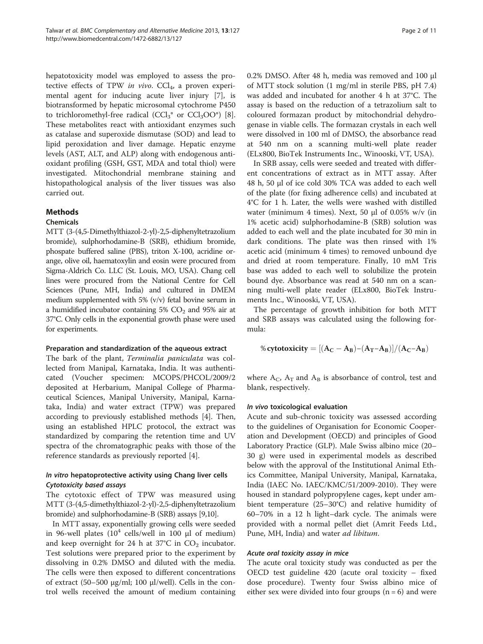hepatotoxicity model was employed to assess the protective effects of TPW in vivo.  $CCl<sub>4</sub>$ , a proven experimental agent for inducing acute liver injury [\[7](#page-9-0)], is biotransformed by hepatic microsomal cytochrome P450 to trichloromethyl-free radical  $(CCl<sub>3</sub><sup>*</sup>$  or  $CCl<sub>3</sub>OO<sup>*</sup>)$  [\[8](#page-9-0)]. These metabolites react with antioxidant enzymes such as catalase and superoxide dismutase (SOD) and lead to lipid peroxidation and liver damage. Hepatic enzyme levels (AST, ALT, and ALP) along with endogenous antioxidant profiling (GSH, GST, MDA and total thiol) were investigated. Mitochondrial membrane staining and histopathological analysis of the liver tissues was also carried out.

#### Methods

#### Chemicals

MTT (3-(4,5-Dimethylthiazol-2-yl)-2,5-diphenyltetrazolium bromide), sulphorhodamine-B (SRB), ethidium bromide, phospate buffered saline (PBS), triton X-100, acridine orange, olive oil, haematoxylin and eosin were procured from Sigma-Aldrich Co. LLC (St. Louis, MO, USA). Chang cell lines were procured from the National Centre for Cell Sciences (Pune, MH, India) and cultured in DMEM medium supplemented with 5% (v/v) fetal bovine serum in a humidified incubator containing  $5\%$  CO<sub>2</sub> and  $95\%$  air at 37°C. Only cells in the exponential growth phase were used for experiments.

#### Preparation and standardization of the aqueous extract

The bark of the plant, Terminalia paniculata was collected from Manipal, Karnataka, India. It was authenticated (Voucher specimen: MCOPS/PHCOL/2009/2 deposited at Herbarium, Manipal College of Pharmaceutical Sciences, Manipal University, Manipal, Karnataka, India) and water extract (TPW) was prepared according to previously established methods [\[4\]](#page-9-0). Then, using an established HPLC protocol, the extract was standardized by comparing the retention time and UV spectra of the chromatographic peaks with those of the reference standards as previously reported [\[4\]](#page-9-0).

# In vitro hepatoprotective activity using Chang liver cells Cytotoxicity based assays

The cytotoxic effect of TPW was measured using MTT (3-(4,5-dimethylthiazol-2-yl)-2,5-diphenyltetrazolium bromide) and sulphorhodamine-B (SRB) assays [\[9,10\]](#page-9-0).

In MTT assay, exponentially growing cells were seeded in 96-well plates  $(10<sup>4</sup>$  cells/well in 100 μl of medium) and keep overnight for 24 h at 37°C in  $CO<sub>2</sub>$  incubator. Test solutions were prepared prior to the experiment by dissolving in 0.2% DMSO and diluted with the media. The cells were then exposed to different concentrations of extract (50–500 μg/ml; 100 μl/well). Cells in the control wells received the amount of medium containing 0.2% DMSO. After 48 h, media was removed and 100 μl of MTT stock solution (1 mg/ml in sterile PBS, pH 7.4) was added and incubated for another 4 h at 37°C. The assay is based on the reduction of a tetrazolium salt to coloured formazan product by mitochondrial dehydrogenase in viable cells. The formazan crystals in each well were dissolved in 100 ml of DMSO, the absorbance read at 540 nm on a scanning multi-well plate reader (ELx800, BioTek Instruments Inc., Winooski, VT, USA).

In SRB assay, cells were seeded and treated with different concentrations of extract as in MTT assay. After 48 h, 50 μl of ice cold 30% TCA was added to each well of the plate (for fixing adherence cells) and incubated at 4°C for 1 h. Later, the wells were washed with distilled water (minimum 4 times). Next, 50 μl of 0.05% w/v (in 1% acetic acid) sulphorhodamine-B (SRB) solution was added to each well and the plate incubated for 30 min in dark conditions. The plate was then rinsed with 1% acetic acid (minimum 4 times) to removed unbound dye and dried at room temperature. Finally, 10 mM Tris base was added to each well to solubilize the protein bound dye. Absorbance was read at 540 nm on a scanning multi-well plate reader (ELx800, BioTek Instruments Inc., Winooski, VT, USA).

The percentage of growth inhibition for both MTT and SRB assays was calculated using the following formula:

$$
\text{\% cytotoxicity}=[(A_C-A_B)-(A_T-A_B)]/(A_C-A_B)
$$

where  $A_C$ ,  $A_T$  and  $A_B$  is absorbance of control, test and blank, respectively.

#### In vivo toxicological evaluation

Acute and sub-chronic toxicity was assessed according to the guidelines of Organisation for Economic Cooperation and Development (OECD) and principles of Good Laboratory Practice (GLP). Male Swiss albino mice (20– 30 g) were used in experimental models as described below with the approval of the Institutional Animal Ethics Committee, Manipal University, Manipal, Karnataka, India (IAEC No. IAEC/KMC/51/2009-2010). They were housed in standard polypropylene cages, kept under ambient temperature (25–30°C) and relative humidity of 60–70% in a 12 h light–dark cycle. The animals were provided with a normal pellet diet (Amrit Feeds Ltd., Pune, MH, India) and water *ad libitum*.

#### Acute oral toxicity assay in mice

The acute oral toxicity study was conducted as per the OECD test guideline 420 (acute oral toxicity – fixed dose procedure). Twenty four Swiss albino mice of either sex were divided into four groups  $(n = 6)$  and were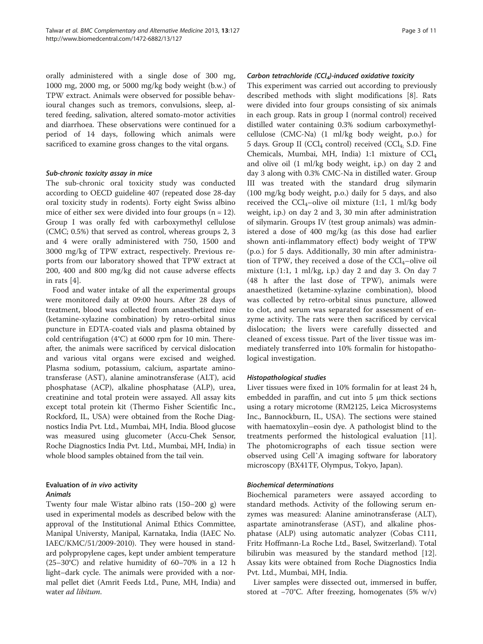orally administered with a single dose of 300 mg, 1000 mg, 2000 mg, or 5000 mg/kg body weight (b.w.) of TPW extract. Animals were observed for possible behavioural changes such as tremors, convulsions, sleep, altered feeding, salivation, altered somato-motor activities and diarrhoea. These observations were continued for a period of 14 days, following which animals were sacrificed to examine gross changes to the vital organs.

# Sub-chronic toxicity assay in mice

The sub-chronic oral toxicity study was conducted according to OECD guideline 407 (repeated dose 28-day oral toxicity study in rodents). Forty eight Swiss albino mice of either sex were divided into four groups  $(n = 12)$ . Group I was orally fed with carboxymethyl cellulose (CMC; 0.5%) that served as control, whereas groups 2, 3 and 4 were orally administered with 750, 1500 and 3000 mg/kg of TPW extract, respectively. Previous reports from our laboratory showed that TPW extract at 200, 400 and 800 mg/kg did not cause adverse effects in rats [\[4\]](#page-9-0).

Food and water intake of all the experimental groups were monitored daily at 09:00 hours. After 28 days of treatment, blood was collected from anaesthetized mice (ketamine-xylazine combination) by retro-orbital sinus puncture in EDTA-coated vials and plasma obtained by cold centrifugation (4°C) at 6000 rpm for 10 min. Thereafter, the animals were sacrificed by cervical dislocation and various vital organs were excised and weighed. Plasma sodium, potassium, calcium, aspartate aminotransferase (AST), alanine aminotransferase (ALT), acid phosphatase (ACP), alkaline phosphatase (ALP), urea, creatinine and total protein were assayed. All assay kits except total protein kit (Thermo Fisher Scientific Inc., Rockford, IL, USA) were obtained from the Roche Diagnostics India Pvt. Ltd., Mumbai, MH, India. Blood glucose was measured using glucometer (Accu-Chek Sensor, Roche Diagnostics India Pvt. Ltd., Mumbai, MH, India) in whole blood samples obtained from the tail vein.

# Evaluation of in vivo activity Animals

Twenty four male Wistar albino rats (150–200 g) were used in experimental models as described below with the approval of the Institutional Animal Ethics Committee, Manipal Universty, Manipal, Karnataka, India (IAEC No. IAEC/KMC/51/2009-2010). They were housed in standard polypropylene cages, kept under ambient temperature (25–30°C) and relative humidity of 60–70% in a 12 h light–dark cycle. The animals were provided with a normal pellet diet (Amrit Feeds Ltd., Pune, MH, India) and water ad libitum.

# Carbon tetrachloride (CCl<sub>4</sub>)-induced oxidative toxicity

This experiment was carried out according to previously described methods with slight modifications [\[8](#page-9-0)]. Rats were divided into four groups consisting of six animals in each group. Rats in group I (normal control) received distilled water containing 0.3% sodium carboxymethylcellulose (CMC-Na) (1 ml/kg body weight, p.o.) for 5 days. Group II (CCl<sub>4</sub> control) received (CCl<sub>4;</sub> S.D. Fine Chemicals, Mumbai, MH, India) 1:1 mixture of CCl4 and olive oil (1 ml/kg body weight, i.p.) on day 2 and day 3 along with 0.3% CMC-Na in distilled water. Group III was treated with the standard drug silymarin (100 mg/kg body weight, p.o.) daily for 5 days, and also received the  $\text{CCl}_4$ -olive oil mixture (1:1, 1 ml/kg body weight, i.p.) on day 2 and 3, 30 min after administration of silymarin. Groups IV (test group animals) was administered a dose of 400 mg/kg (as this dose had earlier shown anti-inflammatory effect) body weight of TPW (p.o.) for 5 days. Additionally, 30 min after administration of TPW, they received a dose of the  $CCl_4$ -olive oil mixture (1:1, 1 ml/kg, i.p.) day 2 and day 3. On day 7 (48 h after the last dose of TPW), animals were anaesthetized (ketamine-xylazine combination), blood was collected by retro-orbital sinus puncture, allowed to clot, and serum was separated for assessment of enzyme activity. The rats were then sacrificed by cervical dislocation; the livers were carefully dissected and cleaned of excess tissue. Part of the liver tissue was immediately transferred into 10% formalin for histopathological investigation.

# Histopathological studies

Liver tissues were fixed in 10% formalin for at least 24 h, embedded in paraffin, and cut into 5 μm thick sections using a rotary microtome (RM2125, Leica Microsystems Inc., Bannockburn, IL, USA). The sections were stained with haematoxylin–eosin dye. A pathologist blind to the treatments performed the histological evaluation [\[11](#page-9-0)]. The photomicrographs of each tissue section were observed using CellˆA imaging software for laboratory microscopy (BX41TF, Olympus, Tokyo, Japan).

#### Biochemical determinations

Biochemical parameters were assayed according to standard methods. Activity of the following serum enzymes was measured: Alanine aminotransferase (ALT), aspartate aminotransferase (AST), and alkaline phosphatase (ALP) using automatic analyzer (Cobas C111, Fritz Hoffmann-La Roche Ltd., Basel, Switzerland). Total bilirubin was measured by the standard method [\[12](#page-9-0)]. Assay kits were obtained from Roche Diagnostics India Pvt. Ltd., Mumbai, MH, India.

Liver samples were dissected out, immersed in buffer, stored at −70°C. After freezing, homogenates (5% w/v)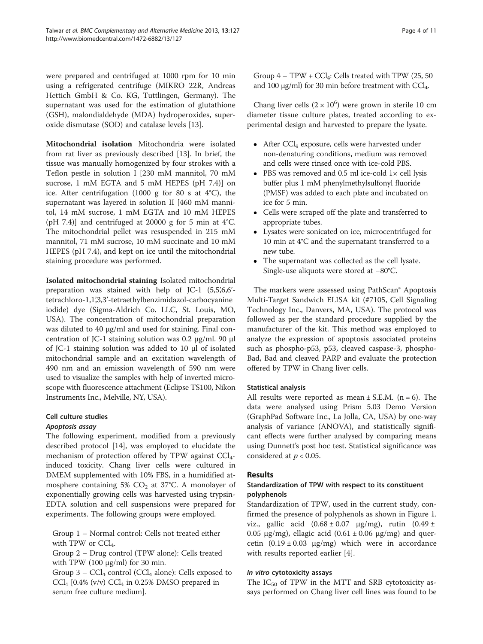were prepared and centrifuged at 1000 rpm for 10 min using a refrigerated centrifuge (MIKRO 22R, Andreas Hettich GmbH & Co. KG, Tuttlingen, Germany). The supernatant was used for the estimation of glutathione (GSH), malondialdehyde (MDA) hydroperoxides, superoxide dismutase (SOD) and catalase levels [[13](#page-9-0)].

Mitochondrial isolation Mitochondria were isolated from rat liver as previously described [\[13\]](#page-9-0). In brief, the tissue was manually homogenized by four strokes with a Teflon pestle in solution I [230 mM mannitol, 70 mM sucrose, 1 mM EGTA and 5 mM HEPES (pH 7.4)] on ice. After centrifugation (1000 g for 80 s at 4°C), the supernatant was layered in solution II [460 mM mannitol, 14 mM sucrose, 1 mM EGTA and 10 mM HEPES (pH 7.4)] and centrifuged at 20000 g for 5 min at  $4^{\circ}$ C. The mitochondrial pellet was resuspended in 215 mM mannitol, 71 mM sucrose, 10 mM succinate and 10 mM HEPES (pH 7.4), and kept on ice until the mitochondrial staining procedure was performed.

Isolated mitochondrial staining Isolated mitochondrial preparation was stained with help of JC-1  $(5,5,6,6)$ tetrachloro-1,1',3,3'-tetraethylbenzimidazol-carbocyanine iodide) dye (Sigma-Aldrich Co. LLC, St. Louis, MO, USA). The concentration of mitochondrial preparation was diluted to 40 μg/ml and used for staining. Final concentration of JC-1 staining solution was 0.2 μg/ml. 90 μl of JC-1 staining solution was added to 10 μl of isolated mitochondrial sample and an excitation wavelength of 490 nm and an emission wavelength of 590 nm were used to visualize the samples with help of inverted microscope with fluorescence attachment (Eclipse TS100, Nikon Instruments Inc., Melville, NY, USA).

# Cell culture studies

# Apoptosis assay

The following experiment, modified from a previously described protocol [[14](#page-9-0)], was employed to elucidate the mechanism of protection offered by TPW against  $\text{CCl}_4$ induced toxicity. Chang liver cells were cultured in DMEM supplemented with 10% FBS, in a humidified atmosphere containing 5%  $CO<sub>2</sub>$  at 37°C. A monolayer of exponentially growing cells was harvested using trypsin-EDTA solution and cell suspensions were prepared for experiments. The following groups were employed.

Group 1 – Normal control: Cells not treated either with TPW or  $CCl_4$ .

Group 2 – Drug control (TPW alone): Cells treated with TPW  $(100 \mu g/ml)$  for 30 min.

Group  $3 - CCl_4$  control (CCl<sub>4</sub> alone): Cells exposed to  $\text{CCl}_4$  [0.4% (v/v)  $\text{CCl}_4$  in 0.25% DMSO prepared in serum free culture medium].

Group  $4 - TPW + CCl_4$ : Cells treated with TPW (25, 50) and 100 μg/ml) for 30 min before treatment with  $\text{CCl}_4$ .

Chang liver cells  $(2 \times 10^6)$  were grown in sterile 10 cm diameter tissue culture plates, treated according to experimental design and harvested to prepare the lysate.

- After  $\text{CCl}_4$  exposure, cells were harvested under non-denaturing conditions, medium was removed and cells were rinsed once with ice-cold PBS.
- PBS was removed and 0.5 ml ice-cold 1× cell lysis buffer plus 1 mM phenylmethylsulfonyl fluoride (PMSF) was added to each plate and incubated on ice for 5 min.
- Cells were scraped off the plate and transferred to appropriate tubes.
- Lysates were sonicated on ice, microcentrifuged for 10 min at 4°C and the supernatant transferred to a new tube.
- The supernatant was collected as the cell lysate. Single-use aliquots were stored at −80°C.

The markers were assessed using PathScan® Apoptosis Multi-Target Sandwich ELISA kit (#7105, Cell Signaling Technology Inc., Danvers, MA, USA). The protocol was followed as per the standard procedure supplied by the manufacturer of the kit. This method was employed to analyze the expression of apoptosis associated proteins such as phospho-p53, p53, cleaved caspase-3, phospho-Bad, Bad and cleaved PARP and evaluate the protection offered by TPW in Chang liver cells.

# Statistical analysis

All results were reported as mean  $\pm$  S.E.M. (n = 6). The data were analysed using Prism 5.03 Demo Version (GraphPad Software Inc., La Jolla, CA, USA) by one-way analysis of variance (ANOVA), and statistically significant effects were further analysed by comparing means using Dunnett's post hoc test. Statistical significance was considered at  $p < 0.05$ .

# Results

# Standardization of TPW with respect to its constituent polyphenols

Standardization of TPW, used in the current study, confirmed the presence of polyphenols as shown in Figure [1](#page-4-0). viz., gallic acid  $(0.68 \pm 0.07 \text{ \mu g/mg})$ , rutin  $(0.49 \pm$ 0.05 μg/mg), ellagic acid  $(0.61 \pm 0.06 \text{ µg/mg})$  and quercetin  $(0.19 \pm 0.03 \text{ µg/mg})$  which were in accordance with results reported earlier [\[4](#page-9-0)].

# In vitro cytotoxicity assays

The  $IC_{50}$  of TPW in the MTT and SRB cytotoxicity assays performed on Chang liver cell lines was found to be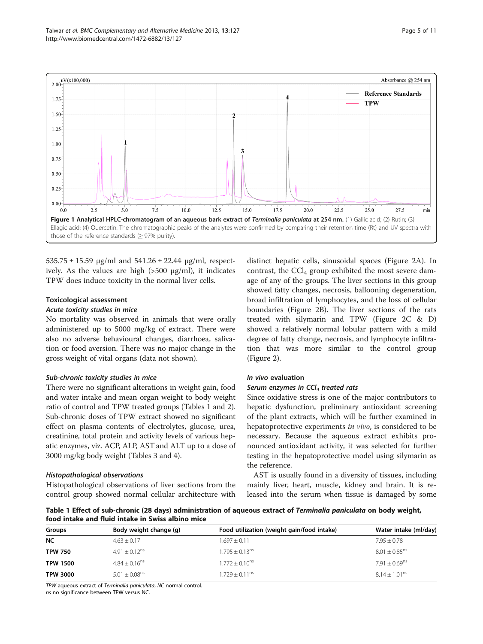<span id="page-4-0"></span>

 $535.75 \pm 15.59$  μg/ml and  $541.26 \pm 22.44$  μg/ml, respectively. As the values are high  $(500 \text{ µg/ml})$ , it indicates TPW does induce toxicity in the normal liver cells.

# Toxicological assessment

#### Acute toxicity studies in mice

No mortality was observed in animals that were orally administered up to 5000 mg/kg of extract. There were also no adverse behavioural changes, diarrhoea, salivation or food aversion. There was no major change in the gross weight of vital organs (data not shown).

# Sub-chronic toxicity studies in mice

There were no significant alterations in weight gain, food and water intake and mean organ weight to body weight ratio of control and TPW treated groups (Tables 1 and [2](#page-5-0)). Sub-chronic doses of TPW extract showed no significant effect on plasma contents of electrolytes, glucose, urea, creatinine, total protein and activity levels of various hepatic enzymes, viz. ACP, ALP, AST and ALT up to a dose of 3000 mg/kg body weight (Tables [3](#page-5-0) and [4](#page-6-0)).

#### Histopathological observations

Histopathological observations of liver sections from the control group showed normal cellular architecture with

distinct hepatic cells, sinusoidal spaces (Figure [2A](#page-6-0)). In contrast, the  $\text{CCl}_4$  group exhibited the most severe damage of any of the groups. The liver sections in this group showed fatty changes, necrosis, ballooning degeneration, broad infiltration of lymphocytes, and the loss of cellular boundaries (Figure [2B](#page-6-0)). The liver sections of the rats treated with silymarin and TPW (Figure [2C](#page-6-0) & D) showed a relatively normal lobular pattern with a mild degree of fatty change, necrosis, and lymphocyte infiltration that was more similar to the control group (Figure [2\)](#page-6-0).

# In vivo evaluation

# Serum enzymes in  $CCl<sub>4</sub>$  treated rats

Since oxidative stress is one of the major contributors to hepatic dysfunction, preliminary antioxidant screening of the plant extracts, which will be further examined in hepatoprotective experiments *in vivo*, is considered to be necessary. Because the aqueous extract exhibits pronounced antioxidant activity, it was selected for further testing in the hepatoprotective model using silymarin as the reference.

AST is usually found in a diversity of tissues, including mainly liver, heart, muscle, kidney and brain. It is released into the serum when tissue is damaged by some

Table 1 Effect of sub-chronic (28 days) administration of aqueous extract of Terminalia paniculata on body weight, food intake and fluid intake in Swiss albino mice

| Groups          | Body weight change (g)        | Food utilization (weight gain/food intake) | Water intake (ml/day)         |
|-----------------|-------------------------------|--------------------------------------------|-------------------------------|
| <b>NC</b>       | $4.63 \pm 0.17$               | $1.697 \pm 0.11$                           | $7.95 \pm 0.78$               |
| <b>TPW 750</b>  | $4.91 + 0.12^{ns}$            | $1.795 + 0.13^{ns}$                        | $8.01 \pm 0.85$ <sup>ns</sup> |
| <b>TPW 1500</b> | $4.84 + 0.16^{ns}$            | $1.772 + 0.10^{ns}$                        | $7.91 + 0.69^{ns}$            |
| <b>TPW 3000</b> | $5.01 \pm 0.08$ <sup>ns</sup> | $1.729 + 0.11^{ns}$                        | $8.14 + 1.01^{ns}$            |

TPW aqueous extract of Terminalia paniculata, NC normal control.

ns no significance between TPW versus NC.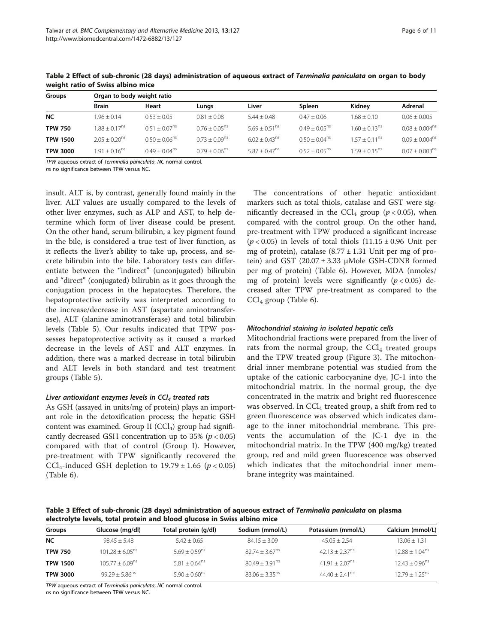| Groups          |                             | Organ to body weight ratio |                           |                    |                             |                           |                     |  |  |
|-----------------|-----------------------------|----------------------------|---------------------------|--------------------|-----------------------------|---------------------------|---------------------|--|--|
|                 | <b>Brain</b>                | Heart                      | Lungs                     | Liver              | Spleen                      | Kidnev                    | Adrenal             |  |  |
| <b>NC</b>       | $1.96 \pm 0.14$             | $0.53 + 0.05$              | $0.81 + 0.08$             | $5.44 + 0.48$      | $0.47 + 0.06$               | $1.68 + 0.10$             | $0.06 + 0.005$      |  |  |
| <b>TPW 750</b>  | $1.88 + 0.17$ <sup>ns</sup> | $0.51 + 0.07^{ns}$         | $0.76 + 0.05^{\text{ns}}$ | $569 + 051^{ns}$   | $0.49 + 0.05$ <sup>ns</sup> | $160 + 013^{ns}$          | $0.08 + 0.004^{ns}$ |  |  |
| <b>TPW 1500</b> | $2.05 + 0.20$ <sup>ns</sup> | $0.50 + 0.06^{ns}$         | $0.73 + 0.09^{ns}$        | $6.02 + 0.43^{ns}$ | $0.50 + 0.04^{\text{ns}}$   | $1.57 + 0.11^{\text{ns}}$ | $0.09 + 0.004^{ns}$ |  |  |
| <b>TPW 3000</b> | $1.91 + 0.16^{ns}$          | $0.49 + 0.04^{ns}$         | $0.79 + 0.06^{ns}$        | $5.87 + 0.47^{ns}$ | $0.52 + 0.05^{ns}$          | $1.59 + 0.15^{ns}$        | $0.07 + 0.003^{ns}$ |  |  |

<span id="page-5-0"></span>Table 2 Effect of sub-chronic (28 days) administration of aqueous extract of Terminalia paniculata on organ to body weight ratio of Swiss albino mice

TPW aqueous extract of Terminalia paniculata, NC normal control.

ns no significance between TPW versus NC.

insult. ALT is, by contrast, generally found mainly in the liver. ALT values are usually compared to the levels of other liver enzymes, such as ALP and AST, to help determine which form of liver disease could be present. On the other hand, serum bilirubin, a key pigment found in the bile, is considered a true test of liver function, as it reflects the liver's ability to take up, process, and secrete bilirubin into the bile. Laboratory tests can differentiate between the "indirect" (unconjugated) bilirubin and "direct" (conjugated) bilirubin as it goes through the conjugation process in the hepatocytes. Therefore, the hepatoprotective activity was interpreted according to the increase/decrease in AST (aspartate aminotransferase), ALT (alanine aminotransferase) and total bilirubin levels (Table [5](#page-7-0)). Our results indicated that TPW possesses hepatoprotective activity as it caused a marked decrease in the levels of AST and ALT enzymes. In addition, there was a marked decrease in total bilirubin and ALT levels in both standard and test treatment groups (Table [5\)](#page-7-0).

# Liver antioxidant enzymes levels in  $CCl<sub>4</sub>$  treated rats

As GSH (assayed in units/mg of protein) plays an important role in the detoxification process; the hepatic GSH content was examined. Group II  $(CCl<sub>4</sub>)$  group had significantly decreased GSH concentration up to 35% ( $p < 0.05$ ) compared with that of control (Group I). However, pre-treatment with TPW significantly recovered the CCl<sub>4</sub>-induced GSH depletion to  $19.79 \pm 1.65$  ( $p < 0.05$ ) (Table [6\)](#page-7-0).

The concentrations of other hepatic antioxidant markers such as total thiols, catalase and GST were significantly decreased in the CCl<sub>4</sub> group ( $p < 0.05$ ), when compared with the control group. On the other hand, pre-treatment with TPW produced a significant increase  $(p < 0.05)$  in levels of total thiols  $(11.15 \pm 0.96)$  Unit per mg of protein), catalase  $(8.77 \pm 1.31)$  Unit per mg of protein) and GST  $(20.07 \pm 3.33 \mu)$ Mole GSH-CDNB formed per mg of protein) (Table [6](#page-7-0)). However, MDA (nmoles/ mg of protein) levels were significantly  $(p < 0.05)$  decreased after TPW pre-treatment as compared to the  $CCl<sub>4</sub>$  group (Table [6](#page-7-0)).

# Mitochondrial staining in isolated hepatic cells

Mitochondrial fractions were prepared from the liver of rats from the normal group, the  $\text{CCl}_4$  treated groups and the TPW treated group (Figure [3](#page-8-0)). The mitochondrial inner membrane potential was studied from the uptake of the cationic carbocyanine dye, JC-1 into the mitochondrial matrix. In the normal group, the dye concentrated in the matrix and bright red fluorescence was observed. In CCl<sub>4</sub> treated group, a shift from red to green fluorescence was observed which indicates damage to the inner mitochondrial membrane. This prevents the accumulation of the JC-1 dye in the mitochondrial matrix. In the TPW (400 mg/kg) treated group, red and mild green fluorescence was observed which indicates that the mitochondrial inner membrane integrity was maintained.

Table 3 Effect of sub-chronic (28 days) administration of aqueous extract of Terminalia paniculata on plasma electrolyte levels, total protein and blood glucose in Swiss albino mice

| Groups          | Glucose (mg/dl)      | Total protein (g/dl)        | Sodium (mmol/L)              | Potassium (mmol/L)           | Calcium (mmol/L)             |
|-----------------|----------------------|-----------------------------|------------------------------|------------------------------|------------------------------|
| <b>NC</b>       | $98.45 + 5.48$       | $5.42 + 0.65$               | $84.15 + 3.09$               | $45.05 + 2.54$               | $13.06 + 1.31$               |
| <b>TPW 750</b>  | $101.28 + 6.05^{ns}$ | $5.69 + 0.59$ <sup>ns</sup> | $82.74 + 3.67^{ns}$          | $42.13 + 2.37^{ns}$          | $12.88 + 1.04ns$             |
| <b>TPW 1500</b> | $105.77 + 6.09ns$    | $5.81 + 0.64$ <sup>ns</sup> | $80.49 + 3.91^{ns}$          | $41.91 + 2.07^{ns}$          | $12.43 + 0.96$ <sup>ns</sup> |
| <b>TPW 3000</b> | $99.29 + 5.86^{ns}$  | $5.90 + 0.60^{ns}$          | $83.06 + 3.35$ <sup>ns</sup> | $44.40 + 2.41$ <sup>ns</sup> | $12.79 + 1.25^{ns}$          |

TPW aqueous extract of Terminalia paniculata, NC normal control.

ns no significance between TPW versus NC.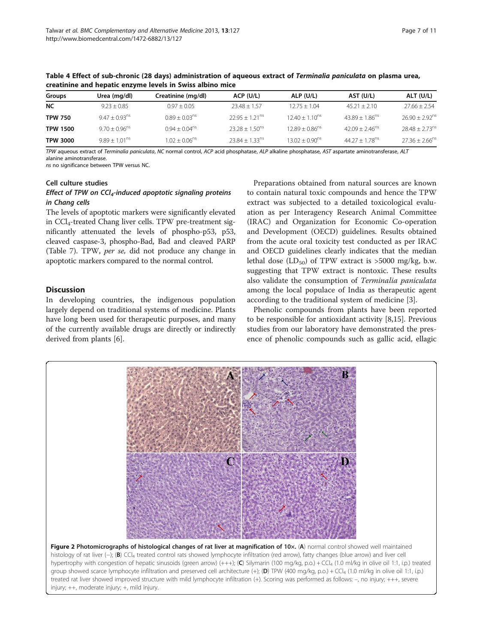| Groups          | Urea (mg/dl)       | Creatinine (mg/dl)          | ACP (U/L)                    | ALP (U/L)           | AST (U/L)                      | ALT (U/L)                    |
|-----------------|--------------------|-----------------------------|------------------------------|---------------------|--------------------------------|------------------------------|
| NC              | $9.23 + 0.85$      | $0.97 \pm 0.05$             | $23.48 + 1.57$               | $12.75 + 1.04$      | $45.21 + 2.10$                 | $27.66 \pm 2.54$             |
| <b>TPW 750</b>  | $9.47 + 0.93^{ns}$ | $0.89 + 0.03ns$             | $22.95 + 1.21$ <sup>ns</sup> | $12.40 + 1.10^{ns}$ | $43.89 \pm 1.86$ <sup>ns</sup> | $26.90 + 2.92$ <sup>ns</sup> |
| <b>TPW 1500</b> | $9.70 + 0.96^{ns}$ | $0.94 + 0.04$ <sup>ns</sup> | $23.28 + 1.50^{ns}$          | $12.89 + 0.86^{ns}$ | $42.09 + 2.46^{ns}$            | $28.48 + 2.73^{n}$           |
| <b>TPW 3000</b> | $9.89 + 1.01^{ns}$ | $1.02 + 0.06$ <sup>ns</sup> | $23.84 + 1.33^{ns}$          | $13.02 + 0.90^{ns}$ | $44.27 + 1.78^{ns}$            | $27.36 + 2.66^{n}$           |

<span id="page-6-0"></span>Table 4 Effect of sub-chronic (28 days) administration of aqueous extract of Terminalia paniculata on plasma urea, creatinine and hepatic enzyme levels in Swiss albino mice

TPW aqueous extract of Terminalia paniculata, NC normal control, ACP acid phosphatase, ALP alkaline phosphatase, AST aspartate aminotransferase, ALT alanine aminotransferase.

ns no significance between TPW versus NC.

#### Cell culture studies

# Effect of TPW on  $\mathsf{CCI}_4$ -induced apoptotic signaling proteins in Chang cells

The levels of apoptotic markers were significantly elevated in CCl4-treated Chang liver cells. TPW pre-treatment significantly attenuated the levels of phospho-p53, p53, cleaved caspase-3, phospho-Bad, Bad and cleaved PARP (Table [7\)](#page-8-0). TPW, per se, did not produce any change in apoptotic markers compared to the normal control.

# **Discussion**

In developing countries, the indigenous population largely depend on traditional systems of medicine. Plants have long been used for therapeutic purposes, and many of the currently available drugs are directly or indirectly derived from plants [\[6](#page-9-0)].

Preparations obtained from natural sources are known to contain natural toxic compounds and hence the TPW extract was subjected to a detailed toxicological evaluation as per Interagency Research Animal Committee (IRAC) and Organization for Economic Co-operation and Development (OECD) guidelines. Results obtained from the acute oral toxicity test conducted as per IRAC and OECD guidelines clearly indicates that the median lethal dose  $(LD_{50})$  of TPW extract is >5000 mg/kg, b.w. suggesting that TPW extract is nontoxic. These results also validate the consumption of Terminalia paniculata among the local populace of India as therapeutic agent according to the traditional system of medicine [[3](#page-9-0)].

Phenolic compounds from plants have been reported to be responsible for antioxidant activity [\[8,15](#page-9-0)]. Previous studies from our laboratory have demonstrated the presence of phenolic compounds such as gallic acid, ellagic

R

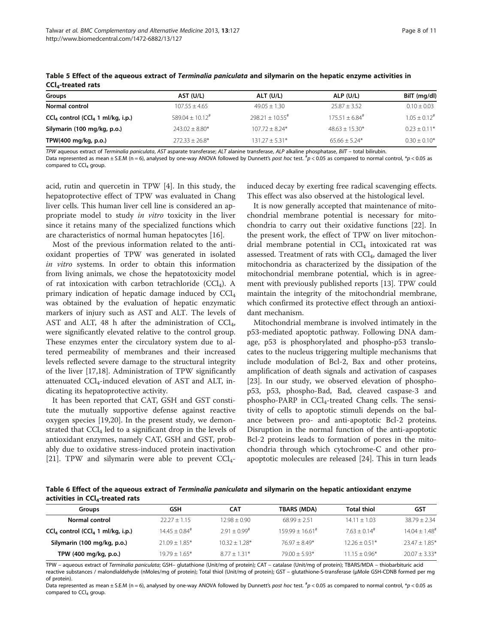| Groups                                          | AST (U/L)                     | ALT (U/L)                     | ALP (U/L)                  | BilT (mg/dl)               |
|-------------------------------------------------|-------------------------------|-------------------------------|----------------------------|----------------------------|
| Normal control                                  | $107.55 \pm 4.65$             | $49.05 \pm 1.30$              | $25.87 + 3.52$             | $0.10 \pm 0.03$            |
| $CCl4$ control (CCl <sub>4</sub> 1 ml/kg, i.p.) | $589.04 + 10.12$ <sup>#</sup> | $798.21 + 10.55$ <sup>#</sup> | $175.51 + 6.84^{\text{*}}$ | $1.05 + 0.12$ <sup>#</sup> |
| Silymarin (100 mg/kg, p.o.)                     | $743.07 + 8.80*$              | $107.72 + 8.24*$              | $48.63 + 15.30*$           | $0.23 + 0.11*$             |
| TPW(400 mg/kg, p.o.)                            | $272.33 + 26.8*$              | $131.27 + 5.31*$              | $65.66 + 5.24*$            | $0.30 + 0.10*$             |

<span id="page-7-0"></span>Table 5 Effect of the aqueous extract of Terminalia paniculata and silymarin on the hepatic enzyme activities in CCL-treated rats

TPW aqueous extract of Terminalia paniculata, AST asparate transferase; ALT alanine transferase, ALP alkaline phosphatase, BilT – total bilirubin.

Data represented as mean ± S.E.M (n = 6), analysed by one-way ANOVA followed by Dunnett's post hoc test.  $^{\#}p$  < 0.05 as compared to normal control,  $^{\ast}p$  < 0.05 as compared to  $CCl<sub>4</sub>$  group.

acid, rutin and quercetin in TPW [[4\]](#page-9-0). In this study, the hepatoprotective effect of TPW was evaluated in Chang liver cells. This human liver cell line is considered an appropriate model to study in vitro toxicity in the liver since it retains many of the specialized functions which are characteristics of normal human hepatocytes [[16\]](#page-9-0).

Most of the previous information related to the antioxidant properties of TPW was generated in isolated in vitro systems. In order to obtain this information from living animals, we chose the hepatotoxicity model of rat intoxication with carbon tetrachloride  $(CCl<sub>4</sub>)$ . A primary indication of hepatic damage induced by  $\text{CCl}_4$ was obtained by the evaluation of hepatic enzymatic markers of injury such as AST and ALT. The levels of AST and ALT, 48 h after the administration of  $CCl<sub>4</sub>$ , were significantly elevated relative to the control group. These enzymes enter the circulatory system due to altered permeability of membranes and their increased levels reflected severe damage to the structural integrity of the liver [[17,18\]](#page-9-0). Administration of TPW significantly attenuated  $\text{CCl}_4$ -induced elevation of AST and ALT, indicating its hepatoprotective activity.

It has been reported that CAT, GSH and GST constitute the mutually supportive defense against reactive oxygen species [\[19,20\]](#page-9-0). In the present study, we demonstrated that  $\text{CCl}_4$  led to a significant drop in the levels of antioxidant enzymes, namely CAT, GSH and GST, probably due to oxidative stress-induced protein inactivation [[21\]](#page-9-0). TPW and silymarin were able to prevent  $CCl<sub>4</sub>$ -

induced decay by exerting free radical scavenging effects. This effect was also observed at the histological level.

It is now generally accepted that maintenance of mitochondrial membrane potential is necessary for mitochondria to carry out their oxidative functions [\[22](#page-9-0)]. In the present work, the effect of TPW on liver mitochondrial membrane potential in  $CCl<sub>4</sub>$  intoxicated rat was assessed. Treatment of rats with  $\text{CCI}_4$ , damaged the liver mitochondria as characterized by the dissipation of the mitochondrial membrane potential, which is in agreement with previously published reports [[13](#page-9-0)]. TPW could maintain the integrity of the mitochondrial membrane, which confirmed its protective effect through an antioxidant mechanism.

Mitochondrial membrane is involved intimately in the p53-mediated apoptotic pathway. Following DNA damage, p53 is phosphorylated and phospho-p53 translocates to the nucleus triggering multiple mechanisms that include modulation of Bcl-2, Bax and other proteins, amplification of death signals and activation of caspases [[23\]](#page-9-0). In our study, we observed elevation of phosphop53, p53, phospho-Bad, Bad, cleaved caspase-3 and  $phospho-PARP$  in  $\text{CCl}_4$ -treated Chang cells. The sensitivity of cells to apoptotic stimuli depends on the balance between pro- and anti-apoptotic Bcl-2 proteins. Disruption in the normal function of the anti-apoptotic Bcl-2 proteins leads to formation of pores in the mitochondria through which cytochrome-C and other proapoptotic molecules are released [[24\]](#page-10-0). This in turn leads

Table 6 Effect of the aqueous extract of Terminalia paniculata and silymarin on the hepatic antioxidant enzyme activities in  $\textsf{CCl}_4$ -treated rats

| Groups                                          | GSH                         | CAT                        | TBARS (MDA)                   | <b>Total thiol</b>         | <b>GST</b>                  |
|-------------------------------------------------|-----------------------------|----------------------------|-------------------------------|----------------------------|-----------------------------|
| Normal control                                  | $22.27 + 1.15$              | $12.98 + 0.90$             | $68.99 + 2.51$                | $14.11 + 1.03$             | $38.79 + 2.34$              |
| $CCl4$ control (CCl <sub>4</sub> 1 ml/kg, i.p.) | $14.45 + 0.84$ <sup>#</sup> | $2.91 + 0.99$ <sup>#</sup> | $159.99 + 16.61$ <sup>#</sup> | $7.63 + 0.14$ <sup>#</sup> | $14.04 + 1.48$ <sup>#</sup> |
| Silymarin (100 mg/kg, p.o.)                     | $21.09 + 1.85*$             | $10.32 + 1.28*$            | $76.97 + 8.49*$               | $12.26 + 0.51*$            | $23.47 \pm 1.85*$           |
| TPW (400 mg/kg, p.o.)                           | $19.79 + 1.65*$             | $877 + 131*$               | $79.00 + 5.93*$               | $11.15 + 0.96*$            | $20.07 + 3.33*$             |

TPW – aqueous extract of Terminalia paniculata; GSH– glutathione (Unit/mg of protein); CAT – catalase (Unit/mg of protein); TBARS/MDA – thiobarbituric acid reactive substances / malondialdehyde (nMoles/mg of protein); Total thiol (Unit/mg of protein); GST – glutathione-S-transferase (μMole GSH-CDNB formed per mg of protein).

Data represented as mean ± S.E.M (n = 6), analysed by one-way ANOVA followed by Dunnett's post hoc test.  $^{\#}p$  < 0.05 as compared to normal control,  $^{\ast}p$  < 0.05 as compared to  $CCI<sub>4</sub>$  group.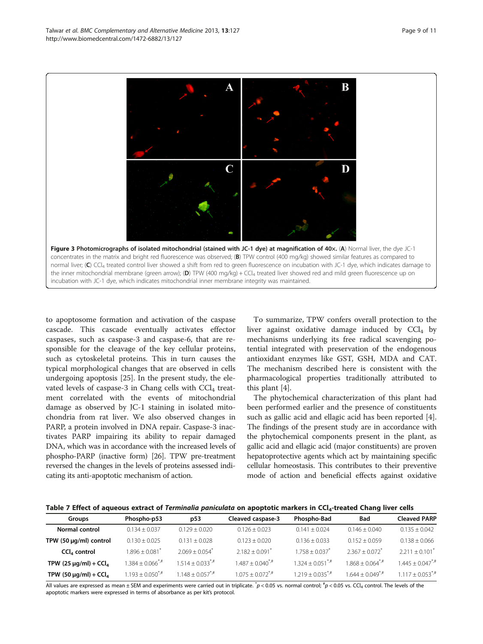to apoptosome formation and activation of the caspase cascade. This cascade eventually activates effector caspases, such as caspase-3 and caspase-6, that are responsible for the cleavage of the key cellular proteins, such as cytoskeletal proteins. This in turn causes the typical morphological changes that are observed in cells undergoing apoptosis [\[25](#page-10-0)]. In the present study, the elevated levels of caspase-3 in Chang cells with  $\text{CCl}_4$  treatment correlated with the events of mitochondrial damage as observed by JC-1 staining in isolated mitochondria from rat liver. We also observed changes in PARP, a protein involved in DNA repair. Caspase-3 inactivates PARP impairing its ability to repair damaged DNA, which was in accordance with the increased levels of phospho-PARP (inactive form) [\[26](#page-10-0)]. TPW pre-treatment reversed the changes in the levels of proteins assessed indicating its anti-apoptotic mechanism of action.

To summarize, TPW confers overall protection to the liver against oxidative damage induced by  $CCl<sub>4</sub>$  by mechanisms underlying its free radical scavenging potential integrated with preservation of the endogenous antioxidant enzymes like GST, GSH, MDA and CAT. The mechanism described here is consistent with the pharmacological properties traditionally attributed to this plant [\[4](#page-9-0)].

The phytochemical characterization of this plant had been performed earlier and the presence of constituents such as gallic acid and ellagic acid has been reported [\[4](#page-9-0)]. The findings of the present study are in accordance with the phytochemical components present in the plant, as gallic acid and ellagic acid (major constituents) are proven hepatoprotective agents which act by maintaining specific cellular homeostasis. This contributes to their preventive mode of action and beneficial effects against oxidative



| Groups                                 | Phospho-p53           | p53                                         | Cleaved caspase-3   | Phospho-Bad         | <b>Bad</b>                   | <b>Cleaved PARP</b>            |
|----------------------------------------|-----------------------|---------------------------------------------|---------------------|---------------------|------------------------------|--------------------------------|
| Normal control                         | $0.134 + 0.037$       | $0.129 + 0.020$                             | $0.126 + 0.023$     | $0.141 + 0.024$     | $0.146 \pm 0.040$            | $0.135 + 0.042$                |
| TPW (50 $\mu$ g/ml) control            | $0.130 + 0.025$       | $0.131 + 0.028$                             | $0.123 + 0.020$     | $0.136 \pm 0.033$   | $0.152 + 0.059$              | $0.138 + 0.066$                |
| $CCl4$ control                         | $.896 \pm 0.081^{7}$  | $2.069 + 0.054$ <sup>*</sup>                | $2.182 + 0.091$     | $1.758 + 0.037$     | $2367 + 0072$                | $2.211 + 0.101$ <sup>*</sup>   |
| TPW (25 $\mu$ g/ml) + CCl <sub>4</sub> | $1.384 + 0.066^{*,#}$ | $1.514 + 0.033^{*}$                         | $1.487 + 0.040^{*}$ | $1.324 + 0.051^{4}$ | $1.868 + 0.064^{*,#}$        | $1.445 + 0.047$ <sup>*,#</sup> |
| TPW (50 $\mu$ g/ml) + CCl <sub>4</sub> | $1.193 + 0.050^{4}$   | $1.148 + 0.057$ <sup>*</sup> / <sup>#</sup> | $1.075 + 0.072^{4}$ | $1.219 + 0.035^{*}$ | $1644 + 0049$ <sup>*,#</sup> | $117 + 0.053^{4}$              |

All values are expressed as mean ± SEM and experiments were carried out in triplicate.  $p < 0.05$  vs. normal control;  $^{\#}p < 0.05$  vs. CCl<sub>4</sub> control. The levels of the apoptotic markers were expressed in terms of absorbance as per kit's protocol.

<span id="page-8-0"></span>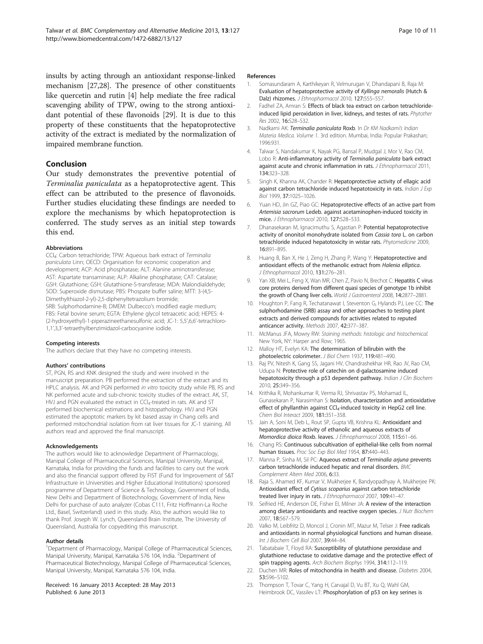<span id="page-9-0"></span>insults by acting through an antioxidant response-linked mechanism [[27,28](#page-10-0)]. The presence of other constituents like quercetin and rutin [4] help mediate the free radical scavenging ability of TPW, owing to the strong antioxidant potential of these flavonoids [[29\]](#page-10-0). It is due to this property of these constituents that the hepatoprotective activity of the extract is mediated by the normalization of impaired membrane function.

# Conclusion

Our study demonstrates the preventive potential of Terminalia paniculata as a hepatoprotective agent. This effect can be attributed to the presence of flavonoids. Further studies elucidating these findings are needed to explore the mechanisms by which hepatoprotection is conferred. The study serves as an initial step towards this end.

#### Abbreviations

CCl4: Carbon tetrachloride; TPW: Aqueous bark extract of Terminalia paniculata Linn; OECD: Organisation for economic cooperation and development; ACP: Acid phosphatase; ALT: Alanine aminotransferase; AST: Aspartate transaminase; ALP: Alkaline phosphatase; CAT: Catalase; GSH: Glutathione; GSH: Glutathione-S-transferase; MDA: Malondialdehyde; SOD: Superoxide dismutase; PBS: Phospate buffer saline; MTT: 3-(4,5- Dimethylthiazol-2-yl)-2,5-diphenyltetrazolium bromide; SRB: Sulphorhodamine-B; DMEM: Dulbecco's modified eagle medium; FBS: Fetal bovine serum; EGTA: Ethylene glycol tetraacetic acid; HEPES: 4- (2-hydroxyethyl)-1-piperazineethanesulfonic acid; JC-1: 5,5',6,6'-tetrachloro-1,1',3,3'-tetraethylbenzimidazol-carbocyanine iodide.

#### Competing interests

The authors declare that they have no competing interests.

#### Authors' contributions

ST, PGN, RS and KNK designed the study and were involved in the manuscript preparation. PB performed the extraction of the extract and its HPLC analysis. AK and PGN performed in vitro toxicity study while PB, RS and NK performed acute and sub-chronic toxicity studies of the extract. AK, ST, HVJ and PGN evaluated the extract in CCl<sub>4</sub>-treated in rats. AK and ST performed biochemical estimations and histopathology. HVJ and PGN estimated the apoptotic markers by kit based assay in Chang cells and performed mitochondrial isolation from rat liver tissues for JC-1 staining. All authors read and approved the final manuscript.

#### Acknowledgements

The authors would like to acknowledge Department of Pharmacology, Manipal College of Pharmaceutical Sciences, Manipal University, Manipal, Karnataka, India for providing the funds and facilities to carry out the work and also the financial support offered by FIST (Fund for Improvement of S&T Infrastructure in Universities and Higher Educational Institutions) sponsored programme of Department of Science & Technology, Government of India, New Delhi and Department of Biotechnology, Government of India, New Delhi for purchase of auto analyzer (Cobas C111, Fritz Hoffmann-La Roche Ltd., Basel, Switzerland) used in this study. Also, the authors would like to thank Prof. Joseph W. Lynch, Queensland Brain Institute, The University of Queensland, Australia for copyediting this manuscript.

#### Author details

<sup>1</sup>Department of Pharmacology, Manipal College of Pharmaceutical Sciences, Manipal University, Manipal, Karnataka 576 104, India. <sup>2</sup>Department of Pharmaceutical Biotechnology, Manipal College of Pharmaceutical Sciences, Manipal University, Manipal, Karnataka 576 104, India.

Received: 16 January 2013 Accepted: 28 May 2013 Published: 6 June 2013

#### References

- 1. Somasundaram A, Karthikeyan R, Velmurugan V, Dhandapani B, Raja M: Evaluation of hepatoprotective activity of Kyllinga nemoralis (Hutch & Dalz) rhizomes. J Ethnopharmacol 2010, 127:555–557.
- 2. Fadhel ZA, Amran S: Effects of black tea extract on carbon tetrachlorideinduced lipid peroxidation in liver, kidneys, and testes of rats. Phytother Res 2002, 16:S28–S32.
- 3. Nadkarni AK: Terminalia paniculata Roxb. In Dr KM Nadkarni's Indian Materia Medica. Volume 1. 3rd edition. Mumbai, India: Popular Prakashan; 1996:931.
- 4. Talwar S, Nandakumar K, Nayak PG, Bansal P, Mudgal J, Mor V, Rao CM, Lobo R: Anti-inflammatory activity of Terminalia paniculata bark extract against acute and chronic inflammation in rats. *J Ethnopharmacol* 2011, 134:323–328.
- 5. Singh K, Khanna AK, Chander R: Hepatoprotective activity of ellagic acid against carbon tetrachloride induced hepatotoxicity in rats. Indian J Exp Biol 1999, 37:1025–1026.
- 6. Yuan HD, Jin GZ, Piao GC: Hepatoprotective effects of an active part from Artemisia sacrorum Ledeb. against acetaminophen-induced toxicity in mice. J Ethnopharmacol 2010, 127:528–533.
- 7. Dhanasekaran M, Ignacimuthu S, Agastian P: Potential hepatoprotective activity of ononitol monohydrate isolated from Cassia tora L. on carbon tetrachloride induced hepatotoxicity in wistar rats. Phytomedicine 2009, 16:891–895.
- 8. Huang B, Ban X, He J, Zeng H, Zhang P, Wang Y: Hepatoprotective and antioxidant effects of the methanolic extract from Halenia elliptica. J Ethnopharmacol 2010, 131:276–281.
- 9. Yan XB, Mei L, Feng X, Wan MR, Chen Z, Pavio N, Brechot C: Hepatitis C virus core proteins derived from different quasi species of genotype 1b inhibit the growth of Chang liver cells. World J Gastroenterol 2008, 14:2877-2881.
- 10. Houghton P, Fang R, Techatanawat I, Steventon G, Hylands PJ, Lee CC: The sulphorhodamine (SRB) assay and other approaches to testing plant extracts and derived compounds for activities related to reputed anticancer activity. Methods 2007, 42:377–387.
- 11. McManus JFA, Mowry RW: Staining methods: histologic and histochemical. New York, NY: Harper and Row; 1965.
- 12. Malloy HT, Evelyn KA: The determination of bilirubin with the photoelectric colorimeter. J Biol Chem 1937, 119:481–490.
- 13. Raj PV, Nitesh K, Gang SS, Jagani HV, Chandrashekhar HR, Rao JV, Rao CM, Udupa N: Protective role of catechin on d-galactosamine induced hepatotoxicity through a p53 dependent pathway. Indian J Clin Biochem 2010, 25:349–356.
- 14. Krithika R, Mohankumar R, Verma RJ, Shrivastav PS, Mohamad IL, Gunasekaran P, Narasimhan S: Isolation, characterization and antioxidative effect of phyllanthin against CCl<sub>4</sub>-induced toxicity in HepG2 cell line. Chem Biol Interact 2009, 181:351–358.
- 15. Jain A, Soni M, Deb L, Rout SP, Gupta VB, Krishna KL: Antioxidant and hepatoprotective activity of ethanolic and aqueous extracts of Momordica dioica Roxb. leaves. J Ethnopharmacol 2008, 115:61–66.
- 16. Chang RS: Continuous subcultivation of epithelial-like cells from normal human tissues. Proc Soc Exp Biol Med 1954, 87:440–443.
- 17. Manna P, Sinha M, Sil PC: Aqueous extract of Terminalia arjuna prevents carbon tetrachloride induced hepatic and renal disorders. BMC Complement Altern Med 2006, 6:33.
- 18. Raja S, Ahamed KF, Kumar V, Mukherjee K, Bandyopadhyay A, Mukherjee PK: Antioxidant effect of Cytisus scoparius against carbon tetrachloride treated liver injury in rats. J Ethnopharmacol 2007, 109:41-47
- 19. Seifried HE, Anderson DE, Fisher EI, Milner JA: A review of the interaction among dietary antioxidants and reactive oxygen species. J Nutr Biochem 2007, 18:567–579.
- 20. Valko M, Leibfritz D, Moncol J, Cronin MT, Mazur M, Telser J: Free radicals and antioxidants in normal physiological functions and human disease. Int J Biochem Cell Biol 2007, 39:44-84.
- 21. Tabatabaie T, Floyd RA: Susceptibility of glutathione peroxidase and glutathione reductase to oxidative damage and the protective effect of spin trapping agents. Arch Biochem Biophys 1994, 314:112-119.
- 22. Duchen MR: Roles of mitochondria in health and disease. Diabetes 2004, 53:S96–S102.
- 23. Thompson T, Tovar C, Yang H, Carvajal D, Vu BT, Xu Q, Wahl GM, Heimbrook DC, Vassilev LT: Phosphorylation of p53 on key serines is